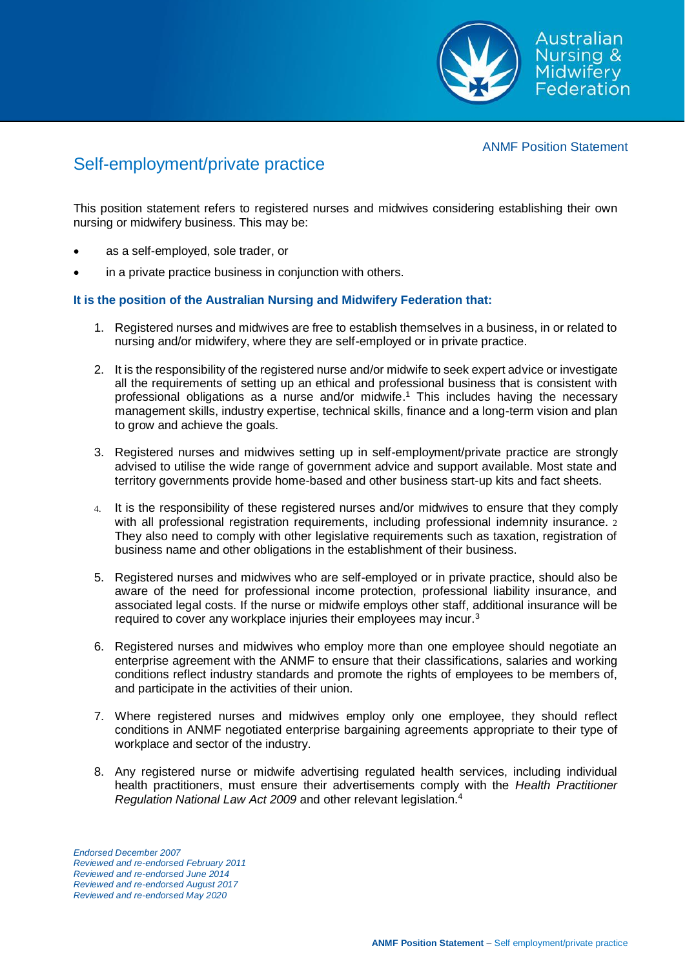

ANMF Position Statement

## Self-employment/private practice

This position statement refers to registered nurses and midwives considering establishing their own nursing or midwifery business. This may be:

- as a self-employed, sole trader, or
- in a private practice business in conjunction with others.

## **It is the position of the Australian Nursing and Midwifery Federation that:**

- 1. Registered nurses and midwives are free to establish themselves in a business, in or related to nursing and/or midwifery, where they are self-employed or in private practice.
- 2. It is the responsibility of the registered nurse and/or midwife to seek expert advice or investigate all the requirements of setting up an ethical and professional business that is consistent with professional obligations as a nurse and/or midwife.<sup>1</sup> This includes having the necessary management skills, industry expertise, technical skills, finance and a long-term vision and plan to grow and achieve the goals.
- 3. Registered nurses and midwives setting up in self-employment/private practice are strongly advised to utilise the wide range of government advice and support available. Most state and territory governments provide home-based and other business start-up kits and fact sheets.
- 4. It is the responsibility of these registered nurses and/or midwives to ensure that they comply with all professional registration requirements, including professional indemnity insurance. 2 They also need to comply with other legislative requirements such as taxation, registration of business name and other obligations in the establishment of their business.
- 5. Registered nurses and midwives who are self-employed or in private practice, should also be aware of the need for professional income protection, professional liability insurance, and associated legal costs. If the nurse or midwife employs other staff, additional insurance will be required to cover any workplace injuries their employees may incur.<sup>3</sup>
- 6. Registered nurses and midwives who employ more than one employee should negotiate an enterprise agreement with the ANMF to ensure that their classifications, salaries and working conditions reflect industry standards and promote the rights of employees to be members of, and participate in the activities of their union.
- 7. Where registered nurses and midwives employ only one employee, they should reflect conditions in ANMF negotiated enterprise bargaining agreements appropriate to their type of workplace and sector of the industry.
- 8. Any registered nurse or midwife advertising regulated health services, including individual health practitioners, must ensure their advertisements comply with the *Health Practitioner Regulation National Law Act 2009* and other relevant legislation.<sup>4</sup>

*Endorsed December 2007 Reviewed and re-endorsed February 2011 Reviewed and re-endorsed June 2014 Reviewed and re-endorsed August 2017 Reviewed and re-endorsed May 2020*